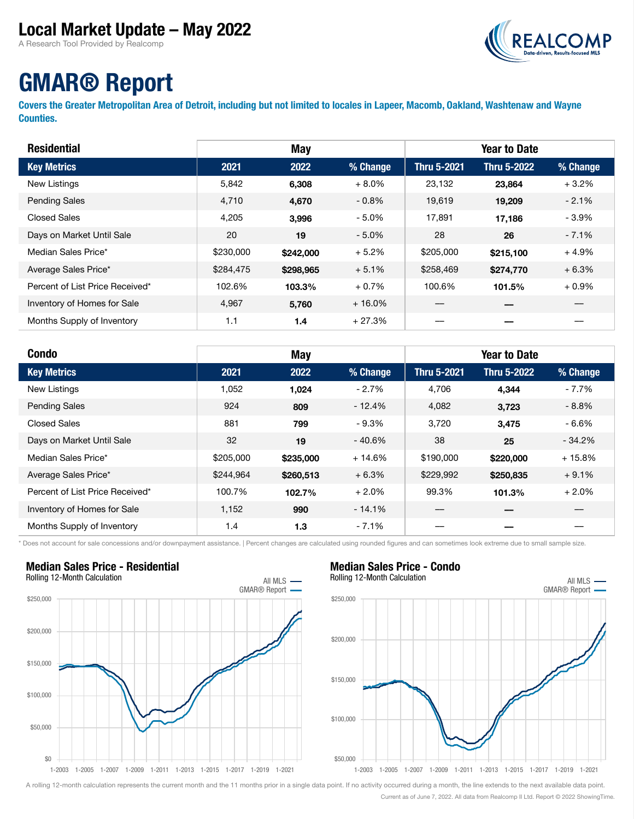### Local Market Update – May 2022

A Research Tool Provided by Realcomp



# GMAR® Report

Covers the Greater Metropolitan Area of Detroit, including but not limited to locales in Lapeer, Macomb, Oakland, Washtenaw and Wayne Counties.

| <b>Residential</b>              | May       |           |          | <b>Year to Date</b> |                    |          |  |
|---------------------------------|-----------|-----------|----------|---------------------|--------------------|----------|--|
| <b>Key Metrics</b>              | 2021      | 2022      | % Change | <b>Thru 5-2021</b>  | <b>Thru 5-2022</b> | % Change |  |
| New Listings                    | 5,842     | 6,308     | $+8.0\%$ | 23,132              | 23,864             | $+3.2%$  |  |
| <b>Pending Sales</b>            | 4,710     | 4,670     | $-0.8\%$ | 19,619              | 19,209             | $-2.1%$  |  |
| <b>Closed Sales</b>             | 4,205     | 3,996     | $-5.0\%$ | 17.891              | 17,186             | $-3.9%$  |  |
| Days on Market Until Sale       | 20        | 19        | $-5.0\%$ | 28                  | 26                 | $-7.1%$  |  |
| Median Sales Price*             | \$230,000 | \$242,000 | $+5.2%$  | \$205,000           | \$215,100          | $+4.9%$  |  |
| Average Sales Price*            | \$284,475 | \$298,965 | $+5.1%$  | \$258,469           | \$274,770          | $+6.3%$  |  |
| Percent of List Price Received* | 102.6%    | 103.3%    | $+0.7%$  | 100.6%              | 101.5%             | $+0.9\%$ |  |
| Inventory of Homes for Sale     | 4,967     | 5,760     | $+16.0%$ |                     |                    |          |  |
| Months Supply of Inventory      | 1.1       | 1.4       | + 27.3%  |                     |                    |          |  |

| <b>Condo</b>                    |           | May       |          |                    | <b>Year to Date</b> |          |
|---------------------------------|-----------|-----------|----------|--------------------|---------------------|----------|
| <b>Key Metrics</b>              | 2021      | 2022      | % Change | <b>Thru 5-2021</b> | <b>Thru 5-2022</b>  | % Change |
| New Listings                    | 1,052     | 1,024     | $-2.7%$  | 4,706              | 4,344               | $-7.7%$  |
| <b>Pending Sales</b>            | 924       | 809       | $-12.4%$ | 4,082              | 3,723               | $-8.8%$  |
| <b>Closed Sales</b>             | 881       | 799       | $-9.3%$  | 3,720              | 3,475               | $-6.6%$  |
| Days on Market Until Sale       | 32        | 19        | $-40.6%$ | 38                 | 25                  | $-34.2%$ |
| Median Sales Price*             | \$205,000 | \$235,000 | $+14.6%$ | \$190,000          | \$220,000           | $+15.8%$ |
| Average Sales Price*            | \$244,964 | \$260,513 | $+6.3%$  | \$229,992          | \$250,835           | $+9.1%$  |
| Percent of List Price Received* | 100.7%    | 102.7%    | $+2.0%$  | 99.3%              | 101.3%              | $+2.0%$  |
| Inventory of Homes for Sale     | 1,152     | 990       | $-14.1%$ |                    |                     |          |
| Months Supply of Inventory      | 1.4       | 1.3       | $-7.1%$  |                    |                     |          |

\* Does not account for sale concessions and/or downpayment assistance. | Percent changes are calculated using rounded figures and can sometimes look extreme due to small sample size.

## Median Sales Price - Residential



#### Median Sales Price - Condo



A rolling 12-month calculation represents the current month and the 11 months prior in a single data point. If no activity occurred during a month, the line extends to the next available data point. Current as of June 7, 2022. All data from Realcomp II Ltd. Report © 2022 ShowingTime.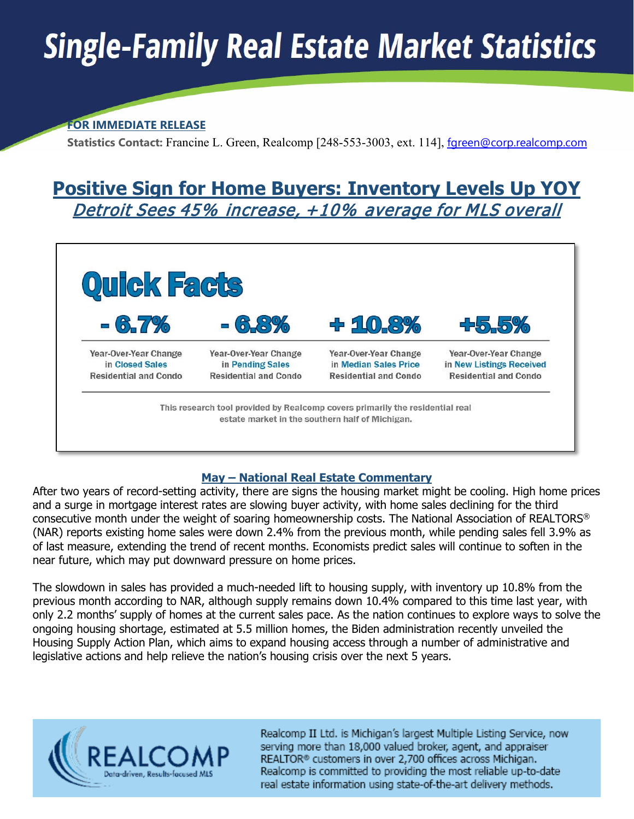# **Single-Family Real Estate Market Statistics**

#### **FOR IMMEDIATE RELEASE**

 **Statistics Contact:** Francine L. Green, Realcomp [248-553-3003, ext. 114], [fgreen@corp.realcomp.com](about:blank)

## **Positive Sign for Home Buyers: Inventory Levels Up YOY**  Detroit Sees 45% increase, +10% average for MLS overall



#### **May – National Real Estate Commentary**

After two years of record-setting activity, there are signs the housing market might be cooling. High home prices and a surge in mortgage interest rates are slowing buyer activity, with home sales declining for the third consecutive month under the weight of soaring homeownership costs. The National Association of REALTORS® (NAR) reports existing home sales were down 2.4% from the previous month, while pending sales fell 3.9% as of last measure, extending the trend of recent months. Economists predict sales will continue to soften in the near future, which may put downward pressure on home prices.

The slowdown in sales has provided a much-needed lift to housing supply, with inventory up 10.8% from the previous month according to NAR, although supply remains down 10.4% compared to this time last year, with only 2.2 months' supply of homes at the current sales pace. As the nation continues to explore ways to solve the ongoing housing shortage, estimated at 5.5 million homes, the Biden administration recently unveiled the Housing Supply Action Plan, which aims to expand housing access through a number of administrative and legislative actions and help relieve the nation's housing crisis over the next 5 years.



Realcomp II Ltd. is Michigan's largest Multiple Listing Service, now serving more than 18,000 valued broker, agent, and appraiser REALTOR® customers in over 2,700 offices across Michigan. Realcomp is committed to providing the most reliable up-to-date real estate information using state-of-the-art delivery methods.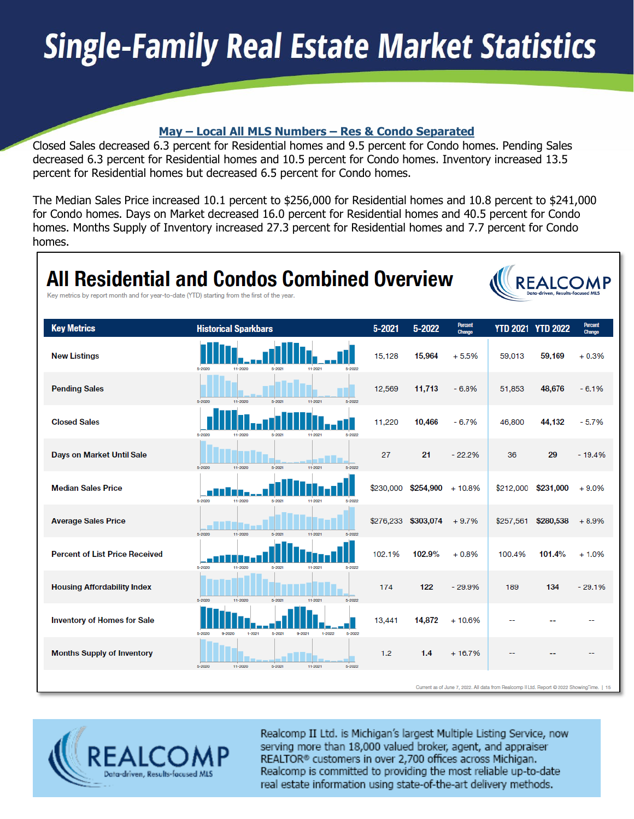# **Single-Family Real Estate Market Statistics**

#### **May – Local All MLS Numbers – Res & Condo Separated**

Closed Sales decreased 6.3 percent for Residential homes and 9.5 percent for Condo homes. Pending Sales decreased 6.3 percent for Residential homes and 10.5 percent for Condo homes. Inventory increased 13.5 percent for Residential homes but decreased 6.5 percent for Condo homes.

The Median Sales Price increased 10.1 percent to \$256,000 for Residential homes and 10.8 percent to \$241,000 for Condo homes. Days on Market decreased 16.0 percent for Residential homes and 40.5 percent for Condo homes. Months Supply of Inventory increased 27.3 percent for Residential homes and 7.7 percent for Condo homes.

| Key metrics by report month and for year-to-date (YTD) starting from the first of the year. | <b>All Residential and Condos Combined Overview</b>                                |            |                     |                          |                                                                                            | REAI<br>Data-driven, Results-focuser |                          |
|---------------------------------------------------------------------------------------------|------------------------------------------------------------------------------------|------------|---------------------|--------------------------|--------------------------------------------------------------------------------------------|--------------------------------------|--------------------------|
| <b>Key Metrics</b>                                                                          | <b>Historical Sparkbars</b>                                                        | $5 - 2021$ | 5-2022              | <b>Percent</b><br>Change |                                                                                            | <b>YTD 2021 YTD 2022</b>             | <b>Percent</b><br>Change |
| <b>New Listings</b>                                                                         | 5-2020<br>5-2021<br><b>EL-SOS</b><br>5-2022<br>11-2020                             | 15,128     | 15,964              | $+5.5%$                  | 59,013                                                                                     | 59,169                               | $+0.3%$                  |
| <b>Pending Sales</b>                                                                        | 5-2020<br>11-2020<br>5-2021<br>11-2021<br>5-2022                                   | 12,569     | 11,713              | $-6.8%$                  | 51,853                                                                                     | 48,676                               | $-6.1%$                  |
| <b>Closed Sales</b>                                                                         | 5-2022<br>5-2020<br>11-2020<br>5-2021<br>11-2021                                   | 11,220     | 10,466              | $-6.7%$                  | 46,800                                                                                     | 44,132                               | $-5.7%$                  |
| Days on Market Until Sale                                                                   | $5 - 2021$<br>5-2020<br>11-2020<br>11-2021<br>5-2022                               | 27         | 21                  | $-22.2%$                 | 36                                                                                         | 29                                   | $-19.4%$                 |
| <b>Median Sales Price</b>                                                                   | 5-2020<br>11-2020<br>5-2021                                                        | \$230,000  | $$254,900 + 10.8\%$ |                          | \$212,000                                                                                  | \$231,000                            | $+9.0%$                  |
| <b>Average Sales Price</b>                                                                  | 11-2020<br>5-2020<br>5-2021                                                        |            | \$276,233 \$303,074 | $+9.7%$                  | \$257,561                                                                                  | \$280,538                            | $+8.9%$                  |
| <b>Percent of List Price Received</b>                                                       | 5-2020<br>11-2020<br>5-2021<br>11-2021<br>5-2022                                   | 102.1%     | 102.9%              | $+0.8%$                  | 100.4%                                                                                     | 101.4%                               | $+1.0%$                  |
| <b>Housing Affordability Index</b>                                                          | 11-2020<br>5-2022<br>5-2020<br>$5 - 202$<br>11-2021                                | 174        | 122                 | $-29.9%$                 | 189                                                                                        | 134                                  | $-29.1%$                 |
| <b>Inventory of Homes for Sale</b>                                                          | 5-2020<br>$5 - 2021$<br>9-2021<br>$5 - 2022$<br>$9 - 2020$<br>$1 - 2021$<br>1-2022 | 13,441     | 14,872              | $+10.6%$                 |                                                                                            |                                      |                          |
| <b>Months Supply of Inventory</b>                                                           | 11-2020<br>$5 - 2021$<br>11-2021<br>5-2022<br>5-2020                               | 1.2        | 1.4                 | $+16.7%$                 |                                                                                            |                                      |                          |
|                                                                                             |                                                                                    |            |                     |                          | Current as of June 7, 2022. All data from Realcomp II Ltd. Report @ 2022 ShowingTime.   15 |                                      |                          |



Realcomp II Ltd. is Michigan's largest Multiple Listing Service, now serving more than 18,000 valued broker, agent, and appraiser REALTOR® customers in over 2,700 offices across Michigan. Realcomp is committed to providing the most reliable up-to-date real estate information using state-of-the-art delivery methods.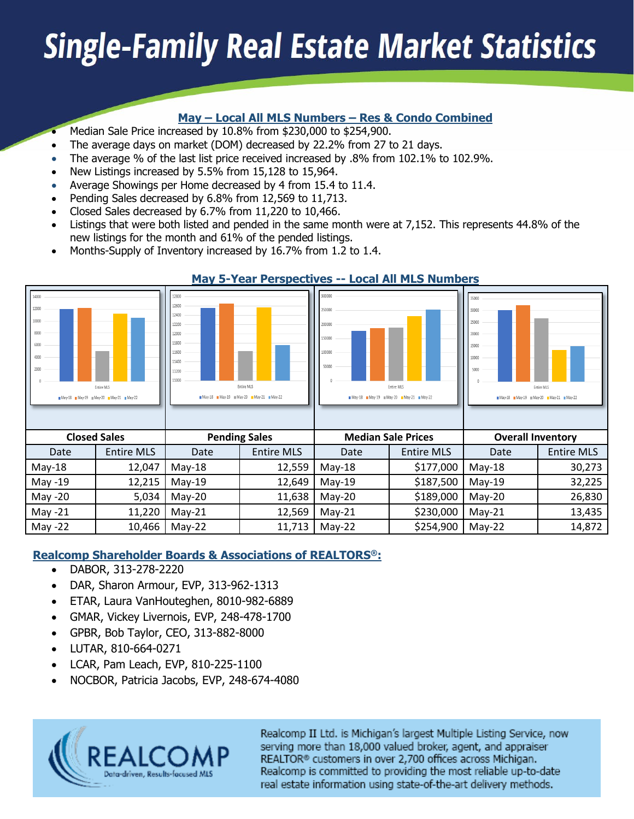# **Single-Family Real Estate Market Statistics**

#### **May – Local All MLS Numbers – Res & Condo Combined**

- Median Sale Price increased by 10.8% from \$230,000 to \$254,900.
- The average days on market (DOM) decreased by 22.2% from 27 to 21 days.
- The average % of the last list price received increased by .8% from 102.1% to 102.9%.
- New Listings increased by 5.5% from 15,128 to 15,964.
- Average Showings per Home decreased by 4 from 15.4 to 11.4.
- Pending Sales decreased by 6.8% from 12,569 to 11,713.
- Closed Sales decreased by 6.7% from 11,220 to 10,466.
- Listings that were both listed and pended in the same month were at 7,152. This represents 44.8% of the new listings for the month and 61% of the pended listings.
- Months-Supply of Inventory increased by 16.7% from 1.2 to 1.4.

|                                                         |                                                  |                                                                                        | <u>FIGY 9 TEGT TERSPECTIVES</u>                  |                                                         | <u>EVENT AIL FIEU NUINDERU</u>                   |                                                                                                  |                   |
|---------------------------------------------------------|--------------------------------------------------|----------------------------------------------------------------------------------------|--------------------------------------------------|---------------------------------------------------------|--------------------------------------------------|--------------------------------------------------------------------------------------------------|-------------------|
| 14000<br>12000<br>10000<br>8000<br>6000<br>4000<br>2000 | Entire MLS<br>May-18 May-19 May-20 May-21 May-22 | 12800<br>12600<br>12400<br>12200<br>12000<br>11800<br>11600<br>11400<br>11200<br>11000 | Entire MLS<br>May-18 May-19 May-20 May-21 May-22 | 300000<br>250000<br>200000<br>150000<br>100000<br>50000 | Entire MLS<br>May-18 May-19 May-20 May-21 May-22 | 35000<br>30000<br>25000<br>20000<br>15000<br>10000<br>5000<br>May-18 May-19 May-20 May-21 May-22 | Entire MLS        |
| <b>Closed Sales</b>                                     |                                                  |                                                                                        | <b>Pending Sales</b>                             |                                                         | <b>Median Sale Prices</b>                        | <b>Overall Inventory</b>                                                                         |                   |
| Date                                                    | <b>Entire MLS</b>                                | Date                                                                                   | <b>Entire MLS</b>                                | Date                                                    | <b>Entire MLS</b>                                | Date                                                                                             | <b>Entire MLS</b> |
| $May-18$                                                | 12,047                                           | $May-18$                                                                               | 12,559                                           | $May-18$                                                | \$177,000                                        | $May-18$                                                                                         | 30,273            |
| May -19                                                 | 12,215                                           | $May-19$                                                                               | 12,649                                           | $May-19$                                                | \$187,500                                        | $May-19$                                                                                         | 32,225            |
| May -20                                                 | 5,034                                            | $May-20$                                                                               | 11,638                                           | $May-20$                                                | \$189,000                                        | $May-20$                                                                                         | 26,830            |
| May $-21$                                               | 11,220                                           | $May-21$                                                                               | 12,569                                           | $May-21$                                                | \$230,000                                        | $May-21$                                                                                         | 13,435            |
| May -22                                                 | 10,466                                           | $May-22$                                                                               | 11,713                                           | $May-22$                                                | \$254,900                                        | $May-22$                                                                                         | 14,872            |

#### **May 5-Year Perspectives -- Local All MLS Numbers**

#### **Realcomp Shareholder Boards & Associations of REALTORS®:**

- DABOR, 313-278-2220
- DAR, Sharon Armour, EVP, 313-962-1313
- ETAR, Laura VanHouteghen, 8010-982-6889
- GMAR, Vickey Livernois, EVP, 248-478-1700
- GPBR, Bob Taylor, CEO, 313-882-8000
- LUTAR, 810-664-0271
- LCAR, Pam Leach, EVP, 810-225-1100
- NOCBOR, Patricia Jacobs, EVP, 248-674-4080



Realcomp II Ltd. is Michigan's largest Multiple Listing Service, now serving more than 18,000 valued broker, agent, and appraiser REALTOR® customers in over 2,700 offices across Michigan. Realcomp is committed to providing the most reliable up-to-date real estate information using state-of-the-art delivery methods.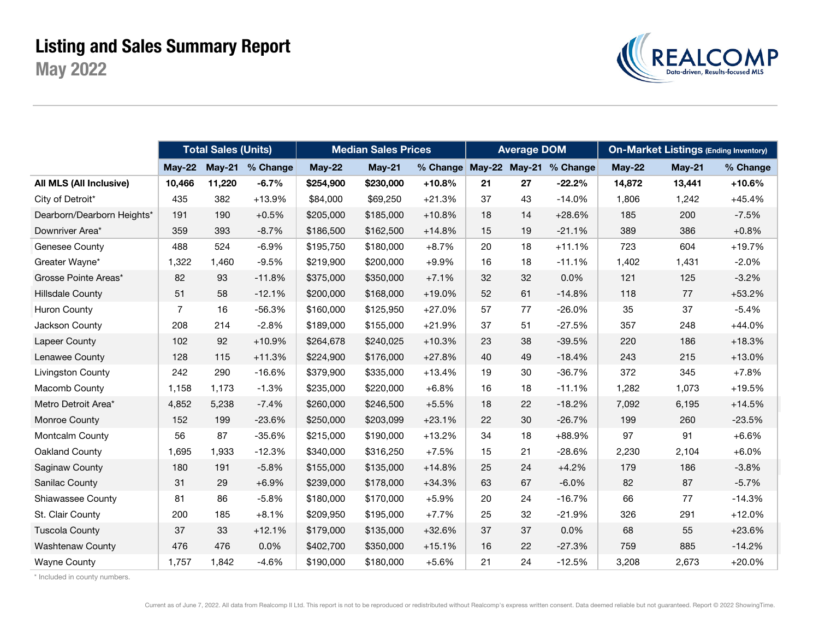## May 2022 Listing and Sales Summary Report



|                            |                | <b>Total Sales (Units)</b> |                 |           | <b>Median Sales Prices</b> |                        |    | <b>Average DOM</b> |          | <b>On-Market Listings (Ending Inventory)</b> |        |          |
|----------------------------|----------------|----------------------------|-----------------|-----------|----------------------------|------------------------|----|--------------------|----------|----------------------------------------------|--------|----------|
|                            | $Mav-22$       |                            | May-21 % Change | $May-22$  | $May-21$                   | % Change May-22 May-21 |    |                    | % Change | <b>May-22</b>                                | May-21 | % Change |
| All MLS (All Inclusive)    | 10,466         | 11,220                     | $-6.7%$         | \$254,900 | \$230,000                  | $+10.8%$               | 21 | 27                 | $-22.2%$ | 14,872                                       | 13,441 | $+10.6%$ |
| City of Detroit*           | 435            | 382                        | $+13.9%$        | \$84,000  | \$69,250                   | $+21.3%$               | 37 | 43                 | $-14.0%$ | 1,806                                        | 1,242  | $+45.4%$ |
| Dearborn/Dearborn Heights* | 191            | 190                        | $+0.5%$         | \$205,000 | \$185,000                  | $+10.8%$               | 18 | 14                 | $+28.6%$ | 185                                          | 200    | $-7.5%$  |
| Downriver Area*            | 359            | 393                        | $-8.7%$         | \$186,500 | \$162,500                  | $+14.8%$               | 15 | 19                 | $-21.1%$ | 389                                          | 386    | $+0.8%$  |
| Genesee County             | 488            | 524                        | $-6.9%$         | \$195,750 | \$180,000                  | $+8.7%$                | 20 | 18                 | $+11.1%$ | 723                                          | 604    | $+19.7%$ |
| Greater Wayne*             | 1,322          | 1,460                      | $-9.5%$         | \$219,900 | \$200,000                  | $+9.9%$                | 16 | 18                 | $-11.1%$ | 1,402                                        | 1,431  | $-2.0%$  |
| Grosse Pointe Areas*       | 82             | 93                         | $-11.8%$        | \$375,000 | \$350,000                  | $+7.1%$                | 32 | 32                 | 0.0%     | 121                                          | 125    | $-3.2%$  |
| <b>Hillsdale County</b>    | 51             | 58                         | $-12.1%$        | \$200,000 | \$168,000                  | $+19.0%$               | 52 | 61                 | $-14.8%$ | 118                                          | 77     | $+53.2%$ |
| Huron County               | $\overline{7}$ | 16                         | $-56.3%$        | \$160,000 | \$125,950                  | $+27.0%$               | 57 | 77                 | $-26.0%$ | 35                                           | 37     | $-5.4%$  |
| Jackson County             | 208            | 214                        | $-2.8%$         | \$189,000 | \$155,000                  | $+21.9%$               | 37 | 51                 | $-27.5%$ | 357                                          | 248    | $+44.0%$ |
| <b>Lapeer County</b>       | 102            | 92                         | $+10.9%$        | \$264,678 | \$240,025                  | $+10.3%$               | 23 | 38                 | $-39.5%$ | 220                                          | 186    | $+18.3%$ |
| Lenawee County             | 128            | 115                        | $+11.3%$        | \$224,900 | \$176,000                  | $+27.8%$               | 40 | 49                 | $-18.4%$ | 243                                          | 215    | $+13.0%$ |
| <b>Livingston County</b>   | 242            | 290                        | $-16.6%$        | \$379,900 | \$335,000                  | $+13.4%$               | 19 | 30                 | $-36.7%$ | 372                                          | 345    | $+7.8%$  |
| Macomb County              | 1,158          | 1,173                      | $-1.3%$         | \$235,000 | \$220,000                  | $+6.8%$                | 16 | 18                 | $-11.1%$ | 1,282                                        | 1,073  | $+19.5%$ |
| Metro Detroit Area*        | 4,852          | 5,238                      | $-7.4%$         | \$260,000 | \$246,500                  | $+5.5%$                | 18 | 22                 | $-18.2%$ | 7,092                                        | 6,195  | $+14.5%$ |
| Monroe County              | 152            | 199                        | $-23.6%$        | \$250,000 | \$203,099                  | $+23.1%$               | 22 | 30                 | $-26.7%$ | 199                                          | 260    | $-23.5%$ |
| Montcalm County            | 56             | 87                         | $-35.6%$        | \$215,000 | \$190,000                  | $+13.2%$               | 34 | 18                 | +88.9%   | 97                                           | 91     | $+6.6%$  |
| Oakland County             | 1,695          | 1,933                      | $-12.3%$        | \$340,000 | \$316,250                  | $+7.5%$                | 15 | 21                 | $-28.6%$ | 2,230                                        | 2,104  | $+6.0%$  |
| Saginaw County             | 180            | 191                        | $-5.8%$         | \$155,000 | \$135,000                  | $+14.8%$               | 25 | 24                 | $+4.2%$  | 179                                          | 186    | $-3.8%$  |
| Sanilac County             | 31             | 29                         | $+6.9%$         | \$239,000 | \$178,000                  | $+34.3%$               | 63 | 67                 | $-6.0%$  | 82                                           | 87     | $-5.7%$  |
| Shiawassee County          | 81             | 86                         | $-5.8%$         | \$180,000 | \$170,000                  | $+5.9%$                | 20 | 24                 | $-16.7%$ | 66                                           | 77     | $-14.3%$ |
| St. Clair County           | 200            | 185                        | $+8.1%$         | \$209,950 | \$195,000                  | $+7.7%$                | 25 | 32                 | $-21.9%$ | 326                                          | 291    | $+12.0%$ |
| <b>Tuscola County</b>      | 37             | 33                         | $+12.1%$        | \$179,000 | \$135,000                  | $+32.6%$               | 37 | 37                 | 0.0%     | 68                                           | 55     | $+23.6%$ |
| <b>Washtenaw County</b>    | 476            | 476                        | 0.0%            | \$402,700 | \$350,000                  | $+15.1%$               | 16 | 22                 | $-27.3%$ | 759                                          | 885    | $-14.2%$ |
| <b>Wayne County</b>        | 1,757          | 1,842                      | $-4.6%$         | \$190,000 | \$180,000                  | $+5.6%$                | 21 | 24                 | $-12.5%$ | 3,208                                        | 2,673  | $+20.0%$ |

\* Included in county numbers.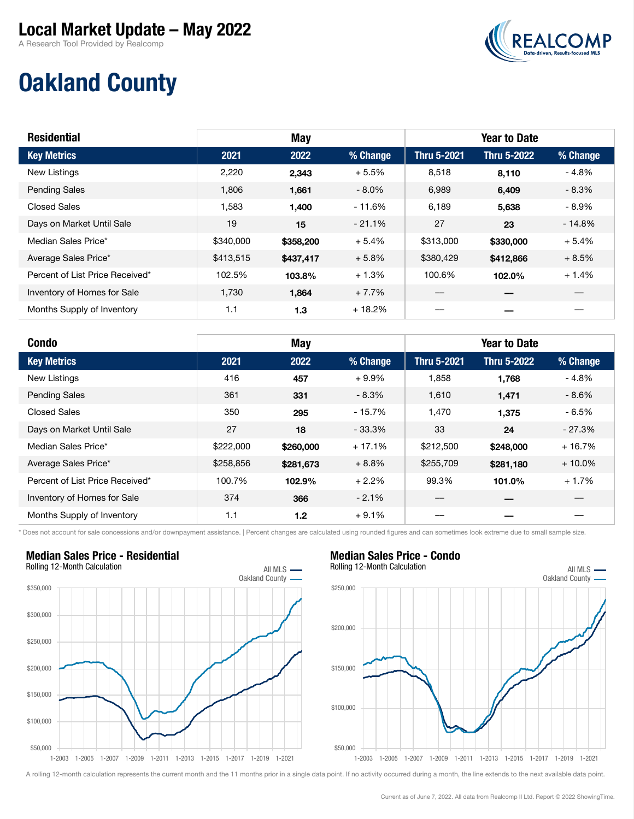### Local Market Update – May 2022

A Research Tool Provided by Realcomp



# Oakland County

| <b>Residential</b>              | <b>May</b> |           |          | <b>Year to Date</b> |                    |          |  |  |
|---------------------------------|------------|-----------|----------|---------------------|--------------------|----------|--|--|
| <b>Key Metrics</b>              | 2021       | 2022      | % Change | Thru 5-2021         | <b>Thru 5-2022</b> | % Change |  |  |
| New Listings                    | 2,220      | 2,343     | $+5.5%$  | 8,518               | 8,110              | $-4.8%$  |  |  |
| <b>Pending Sales</b>            | 1,806      | 1,661     | $-8.0\%$ | 6,989               | 6,409              | $-8.3%$  |  |  |
| <b>Closed Sales</b>             | 1,583      | 1,400     | $-11.6%$ | 6,189               | 5,638              | $-8.9%$  |  |  |
| Days on Market Until Sale       | 19         | 15        | $-21.1%$ | 27                  | 23                 | $-14.8%$ |  |  |
| Median Sales Price*             | \$340,000  | \$358,200 | $+5.4%$  | \$313,000           | \$330,000          | $+5.4%$  |  |  |
| Average Sales Price*            | \$413,515  | \$437,417 | $+5.8%$  | \$380,429           | \$412,866          | $+8.5%$  |  |  |
| Percent of List Price Received* | 102.5%     | 103.8%    | $+1.3%$  | 100.6%              | 102.0%             | $+1.4%$  |  |  |
| Inventory of Homes for Sale     | 1,730      | 1,864     | $+7.7%$  |                     |                    |          |  |  |
| Months Supply of Inventory      | 1.1        | 1.3       | $+18.2%$ |                     |                    |          |  |  |

| <b>Condo</b>                    |           | May       |          |                    | <b>Year to Date</b> |           |
|---------------------------------|-----------|-----------|----------|--------------------|---------------------|-----------|
| <b>Key Metrics</b>              | 2021      | 2022      | % Change | <b>Thru 5-2021</b> | <b>Thru 5-2022</b>  | % Change  |
| <b>New Listings</b>             | 416       | 457       | $+9.9%$  | 1,858              | 1,768               | $-4.8%$   |
| <b>Pending Sales</b>            | 361       | 331       | $-8.3%$  | 1.610              | 1,471               | $-8.6%$   |
| <b>Closed Sales</b>             | 350       | 295       | $-15.7%$ | 1,470              | 1,375               | $-6.5%$   |
| Days on Market Until Sale       | 27        | 18        | $-33.3%$ | 33                 | 24                  | $-27.3%$  |
| Median Sales Price*             | \$222,000 | \$260,000 | $+17.1%$ | \$212,500          | \$248,000           | $+16.7%$  |
| Average Sales Price*            | \$258,856 | \$281,673 | $+8.8%$  | \$255,709          | \$281,180           | $+10.0\%$ |
| Percent of List Price Received* | 100.7%    | 102.9%    | $+2.2%$  | 99.3%              | 101.0%              | $+1.7%$   |
| Inventory of Homes for Sale     | 374       | 366       | $-2.1%$  |                    |                     |           |
| Months Supply of Inventory      | 1.1       | 1.2       | $+9.1%$  |                    |                     |           |

\* Does not account for sale concessions and/or downpayment assistance. | Percent changes are calculated using rounded figures and can sometimes look extreme due to small sample size.



#### Median Sales Price - Condo Rolling 12-Month Calculation All MLS .



A rolling 12-month calculation represents the current month and the 11 months prior in a single data point. If no activity occurred during a month, the line extends to the next available data point.